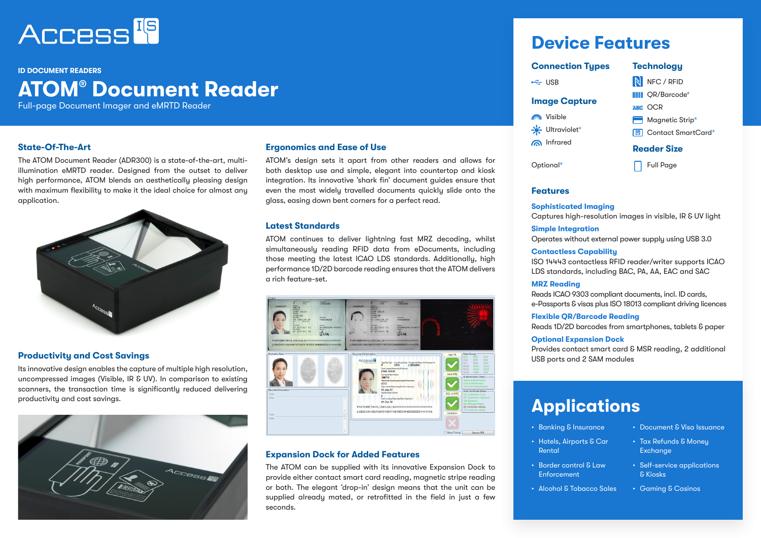

#### **ID DOCUMENT PEADERS**

# **ATOM® Document Reader**

Full-page Document Imager and eMRTD Reader

The ATOM Document Reader (ADR300) is a state-of-the-art, multiillumination eMRTD reader. Designed from the outset to deliver high performance, ATOM blends an aesthetically pleasing design with maximum flexibility to make it the ideal choice for almost any application.



# **Productivity and Cost Savings**

Its innovative design enables the capture of multiple high resolution, uncompressed images (Visible, IR & UV). In comparison to existing scanners, the transaction time is significantly reduced delivering productivity and cost savings.



# Infrared **State-Of-The-Art Ergonomics and Ease of Use**

ATOM's design sets it apart from other readers and allows for both desktop use and simple, elegant into countertop and kiosk integration. Its innovative 'shark fin' document guides ensure that even the most widely travelled documents quickly slide onto the glass, easing down bent corners for a perfect read.

### **Latest Standards**

ATOM continues to deliver lightning fast MRZ decoding, whilst simultaneously reading RFID data from eDocuments, including those meeting the latest ICAO LDS standards. Additionally, high performance 1D/2D barcode reading ensures that the ATOM delivers a rich feature-set.



## **Expansion Dock for Added Features**

The ATOM can be supplied with its innovative Expansion Dock to provide either contact smart card reading, magnetic stripe reading or both. The elegant 'drop-in' design means that the unit can be supplied already mated, or retrofitted in the field in just a few seconds.

# **Device Features**

| <b>Connection Types</b> | <b>Technology</b>           |
|-------------------------|-----------------------------|
| $\leftarrow$ USB        | N NFC / RFID                |
| <b>Image Capture</b>    | <b>IIIII</b> OR/Barcode*    |
|                         | ABC OCR                     |
| Nisible                 | Magnetic Strip*             |
| - Ultraviolet*          | <b>回</b> Contact SmartCard* |
| nfrared                 | <b>Reader Size</b>          |
| Optional*               | <b>Full Page</b>            |

### **Features**

**Sophisticated Imaging** Captures high-resolution images in visible, IR & UV light

### **Simple Integration** Operates without external power supply using USB 3.0

#### **Contactless Capability**

ISO 14443 contactless RFID reader/writer supports ICAO LDS standards, including BAC, PA, AA, EAC and SAC

#### **MRZ Reading**

Reads ICAO 9303 compliant documents, incl. ID cards, e-Passports & visas plus ISO 18013 compliant driving licences

**Flexible QR/Barcode Reading**

Reads 1D/2D barcodes from smartphones, tablets & paper

#### **Optional Expansion Dock**

Provides contact smart card & MSR reading, 2 additional USB ports and 2 SAM modules

# **Applications**

- Banking & Insurance
- Hotels, Airports & Car Rental
- Border control & Law **Enforcement**
- Alcohol & Tobacco Sales
- Document & Visa Issuance
- Tax Refunds & Money **Exchange**
- Self-service applications & Kiosks
- Gaming & Casinos